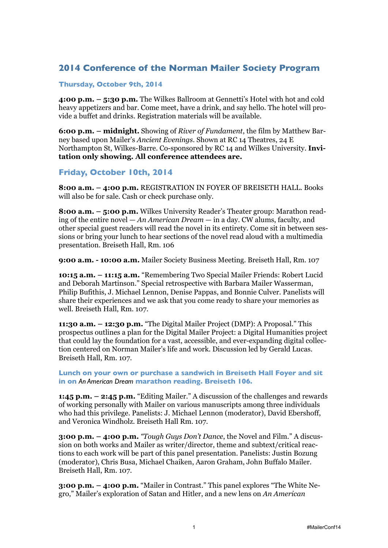# **2014 Conference of the Norman Mailer Society Program**

#### **Thursday, October 9th, 2014**

**4:00 p.m. – 5:30 p.m.** The Wilkes Ballroom at Gennetti's Hotel with hot and cold heavy appetizers and bar. Come meet, have a drink, and say hello. The hotel will provide a buffet and drinks. Registration materials will be available.

**6:00 p.m. – midnight.** Showing of *River of Fundament*, the film by Matthew Barney based upon Mailer's *Ancient Evenings*. Shown at RC 14 Theatres, 24 E Northampton St, Wilkes-Barre. Co-sponsored by RC 14 and Wilkes University. **Invitation only showing. All conference attendees are.**

### **Friday, October 10th, 2014**

**8:00 a.m. – 4:00 p.m.** REGISTRATION IN FOYER OF BREISETH HALL. Books will also be for sale. Cash or check purchase only.

**8:00 a.m. – 5:00 p.m.** Wilkes University Reader's Theater group: Marathon reading of the entire novel — *An American Dream* — in a day. CW alums, faculty, and other special guest readers will read the novel in its entirety. Come sit in between sessions or bring your lunch to hear sections of the novel read aloud with a multimedia presentation. Breiseth Hall, Rm. 106

**9:00 a.m. - 10:00 a.m.** Mailer Society Business Meeting. Breiseth Hall, Rm. 107

**10:15 a.m. – 11:15 a.m.** "Remembering Two Special Mailer Friends: Robert Lucid and Deborah Martinson." Special retrospective with Barbara Mailer Wasserman, Philip Bufithis, J. Michael Lennon, Denise Pappas, and Bonnie Culver. Panelists will share their experiences and we ask that you come ready to share your memories as well. Breiseth Hall, Rm. 107.

**11:30 a.m. – 12:30 p.m.** "The Digital Mailer Project (DMP): A Proposal." This prospectus outlines a plan for the Digital Mailer Project: a Digital Humanities project that could lay the foundation for a vast, accessible, and ever-expanding digital collection centered on Norman Mailer's life and work. Discussion led by Gerald Lucas. Breiseth Hall, Rm. 107.

**Lunch on your own or purchase a sandwich in Breiseth Hall Foyer and sit in on** *An American Dream* **marathon reading. Breiseth 106.**

**1:45 p.m. – 2:45 p.m.** "Editing Mailer." A discussion of the challenges and rewards of working personally with Mailer on various manuscripts among three individuals who had this privilege. Panelists: J. Michael Lennon (moderator), David Ebershoff, and Veronica Windholz. Breiseth Hall Rm. 107.

**3:00 p.m. – 4:00 p.m.** *"Tough Guys Don't Dance*, the Novel and Film." A discussion on both works and Mailer as writer/director, theme and subtext/critical reactions to each work will be part of this panel presentation. Panelists: Justin Bozung (moderator), Chris Busa, Michael Chaiken, Aaron Graham, John Buffalo Mailer. Breiseth Hall, Rm. 107.

**3:00 p.m. – 4:00 p.m.** "Mailer in Contrast." This panel explores "The White Negro," Mailer's exploration of Satan and Hitler, and a new lens on *An American*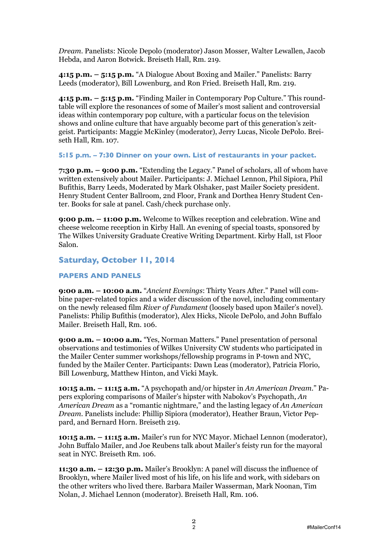*Dream*. Panelists: Nicole Depolo (moderator) Jason Mosser, Walter Lewallen, Jacob Hebda, and Aaron Botwick. Breiseth Hall, Rm. 219.

**4:15 p.m. – 5:15 p.m.** "A Dialogue About Boxing and Mailer." Panelists: Barry Leeds (moderator), Bill Lowenburg, and Ron Fried. Breiseth Hall, Rm. 219.

**4:15 p.m. – 5:15 p.m.** "Finding Mailer in Contemporary Pop Culture." This roundtable will explore the resonances of some of Mailer's most salient and controversial ideas within contemporary pop culture, with a particular focus on the television shows and online culture that have arguably become part of this generation's zeitgeist. Participants: Maggie McKinley (moderator), Jerry Lucas, Nicole DePolo. Breiseth Hall, Rm. 107.

**5:15 p.m. – 7:30 Dinner on your own. List of restaurants in your packet.**

**7:30 p.m. – 9:00 p.m.** "Extending the Legacy." Panel of scholars, all of whom have written extensively about Mailer. Participants: J. Michael Lennon, Phil Sipiora, Phil Bufithis, Barry Leeds, Moderated by Mark Olshaker, past Mailer Society president. Henry Student Center Ballroom, 2nd Floor, Frank and Dorthea Henry Student Center. Books for sale at panel. Cash/check purchase only.

**9:00 p.m. – 11:00 p.m.** Welcome to Wilkes reception and celebration. Wine and cheese welcome reception in Kirby Hall. An evening of special toasts, sponsored by The Wilkes University Graduate Creative Writing Department. Kirby Hall, 1st Floor Salon.

## **Saturday, October 11, 2014**

#### **PAPERS AND PANELS**

**9:00 a.m. – 10:00 a.m.** "*Ancient Evenings*: Thirty Years After." Panel will combine paper-related topics and a wider discussion of the novel, including commentary on the newly released film *River of Fundament* (loosely based upon Mailer's novel). Panelists: Philip Bufithis (moderator), Alex Hicks, Nicole DePolo, and John Buffalo Mailer. Breiseth Hall, Rm. 106.

**9:00 a.m. – 10:00 a.m.** "Yes, Norman Matters." Panel presentation of personal observations and testimonies of Wilkes University CW students who participated in the Mailer Center summer workshops/fellowship programs in P-town and NYC, funded by the Mailer Center. Participants: Dawn Leas (moderator), Patricia Florio, Bill Lowenburg, Matthew Hinton, and Vicki Mayk.

**10:15 a.m. – 11:15 a.m.** "A psychopath and/or hipster in *An American Dream*." Papers exploring comparisons of Mailer's hipster with Nabokov's Psychopath, *An American Dream* as a "romantic nightmare," and the lasting legacy of *An American Dream*. Panelists include: Phillip Sipiora (moderator), Heather Braun, Victor Peppard, and Bernard Horn. Breiseth 219.

**10:15 a.m. – 11:15 a.m.** Mailer's run for NYC Mayor. Michael Lennon (moderator), John Buffalo Mailer, and Joe Reubens talk about Mailer's feisty run for the mayoral seat in NYC. Breiseth Rm. 106.

**11:30 a.m. – 12:30 p.m.** Mailer's Brooklyn: A panel will discuss the influence of Brooklyn, where Mailer lived most of his life, on his life and work, with sidebars on the other writers who lived there. Barbara Mailer Wasserman, Mark Noonan, Tim Nolan, J. Michael Lennon (moderator). Breiseth Hall, Rm. 106.